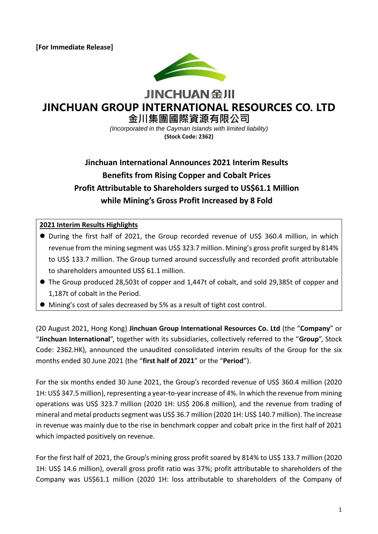

**JINCHUAN 金川** 

# **JINCHUAN GROUP INTERNATIONAL RESOURCES CO. LTD**

**金川集團國際資源有限公司**

*(Incorporated in the Cayman Islands with limited liability)* **(Stock Code: 2362)**

## **Jinchuan International Announces 2021 Interim Results Benefits from Rising Copper and Cobalt Prices Profit Attributable to Shareholders surged to US\$61.1 Million while Mining's Gross Profit Increased by 8 Fold**

## **2021 Interim Results Highlights**

- During the first half of 2021, the Group recorded revenue of US\$ 360.4 million, in which revenue from the mining segment was US\$ 323.7 million. Mining's gross profit surged by 814% to US\$ 133.7 million. The Group turned around successfully and recorded profit attributable to shareholders amounted US\$ 61.1 million.
- The Group produced 28,503t of copper and 1,447t of cobalt, and sold 29,385t of copper and 1,187t of cobalt in the Period.
- Mining's cost of sales decreased by 5% as a result of tight cost control.

(20 August 2021, Hong Kong) **Jinchuan Group International Resources Co. Ltd** (the "**Company**" or "**Jinchuan International**", together with its subsidiaries, collectively referred to the "**Group**", Stock Code: 2362.HK), announced the unaudited consolidated interim results of the Group for the six months ended 30 June 2021 (the "**first half of 2021**" or the "**Period**").

For the six months ended 30 June 2021, the Group's recorded revenue of US\$ 360.4 million (2020 1H: US\$ 347.5 million), representing a year-to-year increase of 4%. In which the revenue from mining operations was US\$ 323.7 million (2020 1H: US\$ 206.8 million), and the revenue from trading of mineral and metal products segment was US\$ 36.7 million (2020 1H: US\$ 140.7 million). The increase in revenue was mainly due to the rise in benchmark copper and cobalt price in the first half of 2021 which impacted positively on revenue.

For the first half of 2021, the Group's mining gross profit soared by 814% to US\$ 133.7 million (2020 1H: US\$ 14.6 million), overall gross profit ratio was 37%; profit attributable to shareholders of the Company was US\$61.1 million (2020 1H: loss attributable to shareholders of the Company of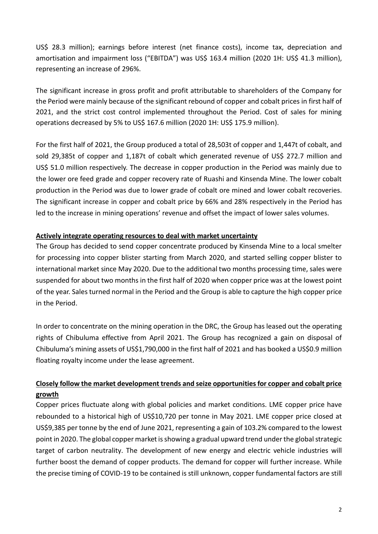US\$ 28.3 million); earnings before interest (net finance costs), income tax, depreciation and amortisation and impairment loss ("EBITDA") was US\$ 163.4 million (2020 1H: US\$ 41.3 million), representing an increase of 296%.

The significant increase in gross profit and profit attributable to shareholders of the Company for the Period were mainly because of the significant rebound of copper and cobalt prices in first half of 2021, and the strict cost control implemented throughout the Period. Cost of sales for mining operations decreased by 5% to US\$ 167.6 million (2020 1H: US\$ 175.9 million).

For the first half of 2021, the Group produced a total of 28,503t of copper and 1,447t of cobalt, and sold 29,385t of copper and 1,187t of cobalt which generated revenue of US\$ 272.7 million and US\$ 51.0 million respectively. The decrease in copper production in the Period was mainly due to the lower ore feed grade and copper recovery rate of Ruashi and Kinsenda Mine. The lower cobalt production in the Period was due to lower grade of cobalt ore mined and lower cobalt recoveries. The significant increase in copper and cobalt price by 66% and 28% respectively in the Period has led to the increase in mining operations' revenue and offset the impact of lower sales volumes.

## **Actively integrate operating resources to deal with market uncertainty**

The Group has decided to send copper concentrate produced by Kinsenda Mine to a local smelter for processing into copper blister starting from March 2020, and started selling copper blister to international market since May 2020. Due to the additional two months processing time, sales were suspended for about two months in the first half of 2020 when copper price was at the lowest point of the year. Sales turned normal in the Period and the Group is able to capture the high copper price in the Period.

In order to concentrate on the mining operation in the DRC, the Group has leased out the operating rights of Chibuluma effective from April 2021. The Group has recognized a gain on disposal of Chibuluma's mining assets of US\$1,790,000 in the first half of 2021 and has booked a US\$0.9 million floating royalty income under the lease agreement.

## **Closely follow the market development trends and seize opportunities for copper and cobalt price growth**

Copper prices fluctuate along with global policies and market conditions. LME copper price have rebounded to a historical high of US\$10,720 per tonne in May 2021. LME copper price closed at US\$9,385 per tonne by the end of June 2021, representing a gain of 103.2% compared to the lowest point in 2020. The global copper market is showing a gradual upward trend under the global strategic target of carbon neutrality. The development of new energy and electric vehicle industries will further boost the demand of copper products. The demand for copper will further increase. While the precise timing of COVID-19 to be contained is still unknown, copper fundamental factors are still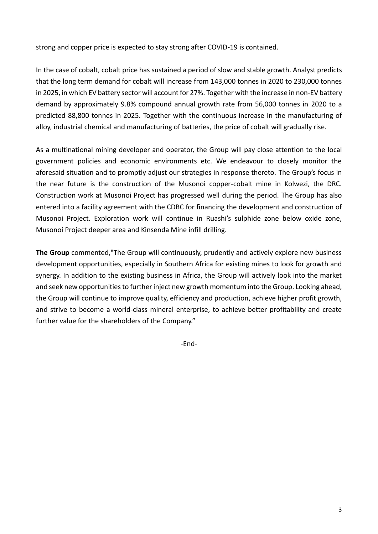strong and copper price is expected to stay strong after COVID-19 is contained.

In the case of cobalt, cobalt price has sustained a period of slow and stable growth. Analyst predicts that the long term demand for cobalt will increase from 143,000 tonnes in 2020 to 230,000 tonnes in 2025, in which EV battery sector will account for 27%. Together with the increase in non-EV battery demand by approximately 9.8% compound annual growth rate from 56,000 tonnes in 2020 to a predicted 88,800 tonnes in 2025. Together with the continuous increase in the manufacturing of alloy, industrial chemical and manufacturing of batteries, the price of cobalt will gradually rise.

As a multinational mining developer and operator, the Group will pay close attention to the local government policies and economic environments etc. We endeavour to closely monitor the aforesaid situation and to promptly adjust our strategies in response thereto. The Group's focus in the near future is the construction of the Musonoi copper-cobalt mine in Kolwezi, the DRC. Construction work at Musonoi Project has progressed well during the period. The Group has also entered into a facility agreement with the CDBC for financing the development and construction of Musonoi Project. Exploration work will continue in Ruashi's sulphide zone below oxide zone, Musonoi Project deeper area and Kinsenda Mine infill drilling.

**The Group** commented,"The Group will continuously, prudently and actively explore new business development opportunities, especially in Southern Africa for existing mines to look for growth and synergy. In addition to the existing business in Africa, the Group will actively look into the market and seek new opportunities to further inject new growth momentum into the Group. Looking ahead, the Group will continue to improve quality, efficiency and production, achieve higher profit growth, and strive to become a world-class mineral enterprise, to achieve better profitability and create further value for the shareholders of the Company."

-End-